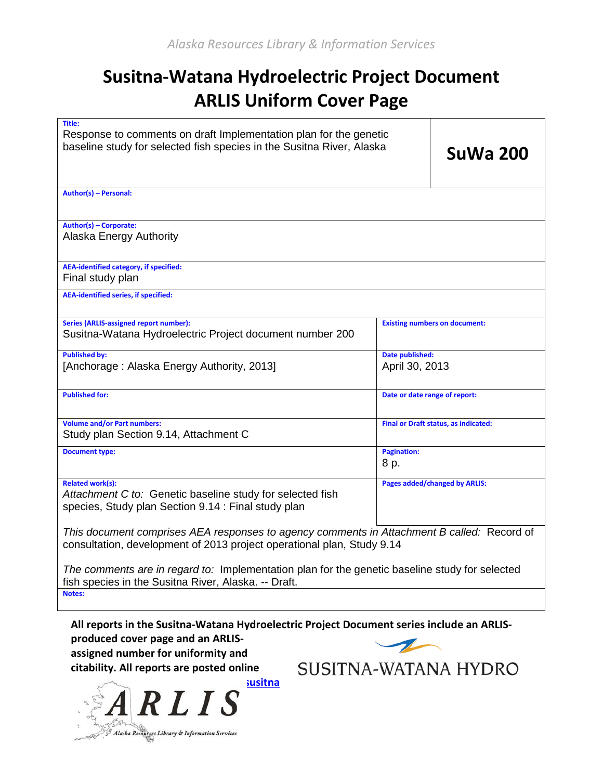## **Susitna-Watana Hydroelectric Project Document ARLIS Uniform Cover Page**

| Title:<br>Response to comments on draft Implementation plan for the genetic<br>baseline study for selected fish species in the Susitna River, Alaska                         | <b>SuWa 200</b>                   |                                      |  |  |
|------------------------------------------------------------------------------------------------------------------------------------------------------------------------------|-----------------------------------|--------------------------------------|--|--|
| Author(s) - Personal:                                                                                                                                                        |                                   |                                      |  |  |
| Author(s) - Corporate:<br>Alaska Energy Authority                                                                                                                            |                                   |                                      |  |  |
| <b>AEA-identified category, if specified:</b><br>Final study plan                                                                                                            |                                   |                                      |  |  |
| <b>AEA-identified series, if specified:</b>                                                                                                                                  |                                   |                                      |  |  |
| <b>Series (ARLIS-assigned report number):</b><br>Susitna-Watana Hydroelectric Project document number 200                                                                    |                                   | <b>Existing numbers on document:</b> |  |  |
| <b>Published by:</b><br>[Anchorage: Alaska Energy Authority, 2013]                                                                                                           | Date published:<br>April 30, 2013 |                                      |  |  |
| <b>Published for:</b>                                                                                                                                                        | Date or date range of report:     |                                      |  |  |
| <b>Volume and/or Part numbers:</b><br>Study plan Section 9.14, Attachment C                                                                                                  |                                   | Final or Draft status, as indicated: |  |  |
| <b>Document type:</b>                                                                                                                                                        | <b>Pagination:</b><br>8 p.        |                                      |  |  |
| <b>Related work(s):</b><br>Pages added/changed by ARLIS:<br>Attachment C to: Genetic baseline study for selected fish<br>species, Study plan Section 9.14 : Final study plan |                                   |                                      |  |  |
| This document comprises AEA responses to agency comments in Attachment B called: Record of<br>consultation, development of 2013 project operational plan, Study 9.14         |                                   |                                      |  |  |
| The comments are in regard to: Implementation plan for the genetic baseline study for selected<br>fish species in the Susitna River, Alaska. -- Draft.                       |                                   |                                      |  |  |
| Notes:                                                                                                                                                                       |                                   |                                      |  |  |

**All reports in the Susitna-Watana Hydroelectric Project Document series include an ARLISproduced cover page and an ARLIS-**

**assigned number for uniformity and citability. All reports are posted online** 

SUSITNA-WATANA HYDRO

**ausitna** R L I S **[-watana/](http://www.arlis.org/resources/susitna-watana/)**Alaska Resources Library & Information Services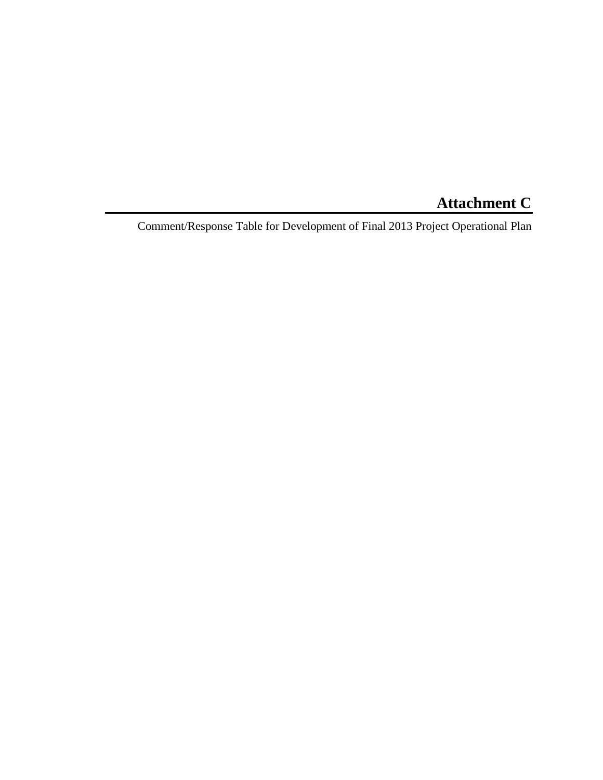## **Attachment C**

Comment/Response Table for Development of Final 2013 Project Operational Plan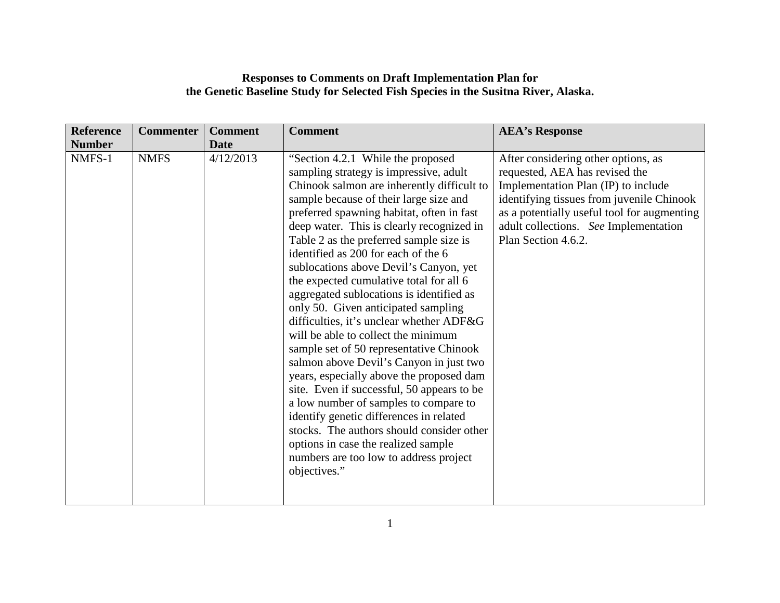## **Responses to Comments on Draft Implementation Plan for the Genetic Baseline Study for Selected Fish Species in the Susitna River, Alaska.**

| <b>Reference</b> | <b>Commenter</b> | <b>Comment</b> | <b>Comment</b>                                                                                                                                                                                                                                                                                                                                                                                                                                                                                                                                                                                                                                                                                                                                                                                                                                                                                                                                                                                                               | <b>AEA's Response</b>                                                                                                                                                                                                                                                    |
|------------------|------------------|----------------|------------------------------------------------------------------------------------------------------------------------------------------------------------------------------------------------------------------------------------------------------------------------------------------------------------------------------------------------------------------------------------------------------------------------------------------------------------------------------------------------------------------------------------------------------------------------------------------------------------------------------------------------------------------------------------------------------------------------------------------------------------------------------------------------------------------------------------------------------------------------------------------------------------------------------------------------------------------------------------------------------------------------------|--------------------------------------------------------------------------------------------------------------------------------------------------------------------------------------------------------------------------------------------------------------------------|
| <b>Number</b>    |                  | <b>Date</b>    |                                                                                                                                                                                                                                                                                                                                                                                                                                                                                                                                                                                                                                                                                                                                                                                                                                                                                                                                                                                                                              |                                                                                                                                                                                                                                                                          |
| NMFS-1           | <b>NMFS</b>      | 4/12/2013      | "Section 4.2.1 While the proposed<br>sampling strategy is impressive, adult<br>Chinook salmon are inherently difficult to<br>sample because of their large size and<br>preferred spawning habitat, often in fast<br>deep water. This is clearly recognized in<br>Table 2 as the preferred sample size is<br>identified as 200 for each of the 6<br>sublocations above Devil's Canyon, yet<br>the expected cumulative total for all 6<br>aggregated sublocations is identified as<br>only 50. Given anticipated sampling<br>difficulties, it's unclear whether ADF&G<br>will be able to collect the minimum<br>sample set of 50 representative Chinook<br>salmon above Devil's Canyon in just two<br>years, especially above the proposed dam<br>site. Even if successful, 50 appears to be<br>a low number of samples to compare to<br>identify genetic differences in related<br>stocks. The authors should consider other<br>options in case the realized sample<br>numbers are too low to address project<br>objectives." | After considering other options, as<br>requested, AEA has revised the<br>Implementation Plan (IP) to include<br>identifying tissues from juvenile Chinook<br>as a potentially useful tool for augmenting<br>adult collections. See Implementation<br>Plan Section 4.6.2. |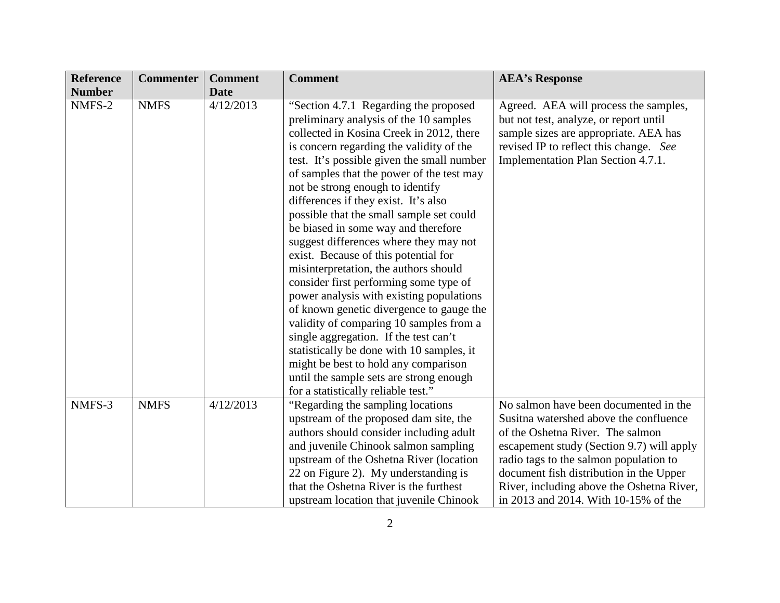| <b>Reference</b> | <b>Commenter</b> | <b>Comment</b> | <b>Comment</b>                             | <b>AEA's Response</b>                     |
|------------------|------------------|----------------|--------------------------------------------|-------------------------------------------|
| <b>Number</b>    |                  | <b>Date</b>    |                                            |                                           |
| NMFS-2           | <b>NMFS</b>      | 4/12/2013      | "Section 4.7.1 Regarding the proposed      | Agreed. AEA will process the samples,     |
|                  |                  |                | preliminary analysis of the 10 samples     | but not test, analyze, or report until    |
|                  |                  |                | collected in Kosina Creek in 2012, there   | sample sizes are appropriate. AEA has     |
|                  |                  |                | is concern regarding the validity of the   | revised IP to reflect this change. See    |
|                  |                  |                | test. It's possible given the small number | Implementation Plan Section 4.7.1.        |
|                  |                  |                | of samples that the power of the test may  |                                           |
|                  |                  |                | not be strong enough to identify           |                                           |
|                  |                  |                | differences if they exist. It's also       |                                           |
|                  |                  |                | possible that the small sample set could   |                                           |
|                  |                  |                | be biased in some way and therefore        |                                           |
|                  |                  |                | suggest differences where they may not     |                                           |
|                  |                  |                | exist. Because of this potential for       |                                           |
|                  |                  |                | misinterpretation, the authors should      |                                           |
|                  |                  |                | consider first performing some type of     |                                           |
|                  |                  |                | power analysis with existing populations   |                                           |
|                  |                  |                | of known genetic divergence to gauge the   |                                           |
|                  |                  |                | validity of comparing 10 samples from a    |                                           |
|                  |                  |                | single aggregation. If the test can't      |                                           |
|                  |                  |                | statistically be done with 10 samples, it  |                                           |
|                  |                  |                | might be best to hold any comparison       |                                           |
|                  |                  |                | until the sample sets are strong enough    |                                           |
|                  |                  |                | for a statistically reliable test."        |                                           |
| NMFS-3           | <b>NMFS</b>      | 4/12/2013      | "Regarding the sampling locations"         | No salmon have been documented in the     |
|                  |                  |                | upstream of the proposed dam site, the     | Susitna watershed above the confluence    |
|                  |                  |                | authors should consider including adult    | of the Oshetna River. The salmon          |
|                  |                  |                | and juvenile Chinook salmon sampling       | escapement study (Section 9.7) will apply |
|                  |                  |                | upstream of the Oshetna River (location    | radio tags to the salmon population to    |
|                  |                  |                | 22 on Figure 2). My understanding is       | document fish distribution in the Upper   |
|                  |                  |                | that the Oshetna River is the furthest     | River, including above the Oshetna River, |
|                  |                  |                | upstream location that juvenile Chinook    | in 2013 and 2014. With 10-15% of the      |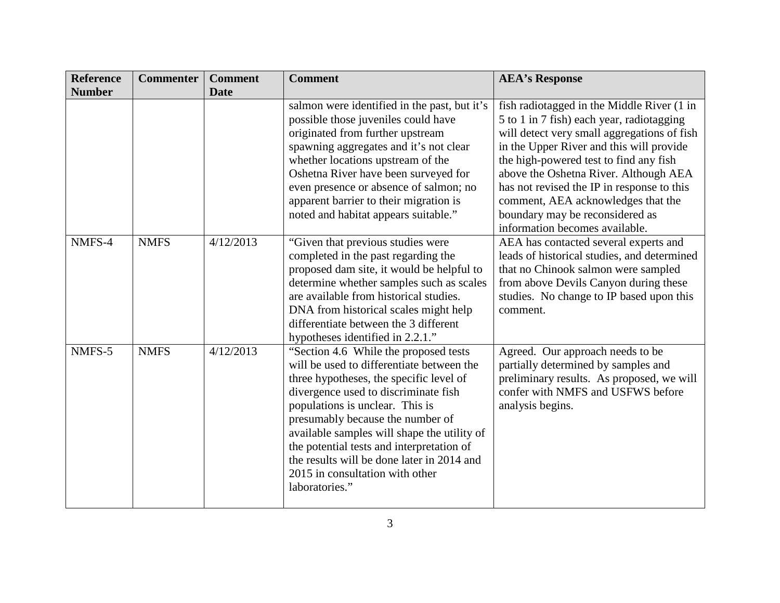| <b>Reference</b> | <b>Commenter</b> | <b>Comment</b> | <b>Comment</b>                                                                                                                                                                                                                                                                                                                                                                                                                               | <b>AEA's Response</b>                                                                                                                                                                                                                                                                                                                                                                                                          |
|------------------|------------------|----------------|----------------------------------------------------------------------------------------------------------------------------------------------------------------------------------------------------------------------------------------------------------------------------------------------------------------------------------------------------------------------------------------------------------------------------------------------|--------------------------------------------------------------------------------------------------------------------------------------------------------------------------------------------------------------------------------------------------------------------------------------------------------------------------------------------------------------------------------------------------------------------------------|
| <b>Number</b>    |                  | <b>Date</b>    |                                                                                                                                                                                                                                                                                                                                                                                                                                              |                                                                                                                                                                                                                                                                                                                                                                                                                                |
|                  |                  |                | salmon were identified in the past, but it's<br>possible those juveniles could have<br>originated from further upstream<br>spawning aggregates and it's not clear<br>whether locations upstream of the<br>Oshetna River have been surveyed for<br>even presence or absence of salmon; no<br>apparent barrier to their migration is<br>noted and habitat appears suitable."                                                                   | fish radiotagged in the Middle River (1 in<br>5 to 1 in 7 fish) each year, radiotagging<br>will detect very small aggregations of fish<br>in the Upper River and this will provide<br>the high-powered test to find any fish<br>above the Oshetna River. Although AEA<br>has not revised the IP in response to this<br>comment, AEA acknowledges that the<br>boundary may be reconsidered as<br>information becomes available. |
| NMFS-4           | <b>NMFS</b>      | 4/12/2013      | "Given that previous studies were<br>completed in the past regarding the<br>proposed dam site, it would be helpful to<br>determine whether samples such as scales<br>are available from historical studies.<br>DNA from historical scales might help<br>differentiate between the 3 different<br>hypotheses identified in 2.2.1."                                                                                                            | AEA has contacted several experts and<br>leads of historical studies, and determined<br>that no Chinook salmon were sampled<br>from above Devils Canyon during these<br>studies. No change to IP based upon this<br>comment.                                                                                                                                                                                                   |
| NMFS-5           | <b>NMFS</b>      | 4/12/2013      | "Section 4.6 While the proposed tests"<br>will be used to differentiate between the<br>three hypotheses, the specific level of<br>divergence used to discriminate fish<br>populations is unclear. This is<br>presumably because the number of<br>available samples will shape the utility of<br>the potential tests and interpretation of<br>the results will be done later in 2014 and<br>2015 in consultation with other<br>laboratories." | Agreed. Our approach needs to be<br>partially determined by samples and<br>preliminary results. As proposed, we will<br>confer with NMFS and USFWS before<br>analysis begins.                                                                                                                                                                                                                                                  |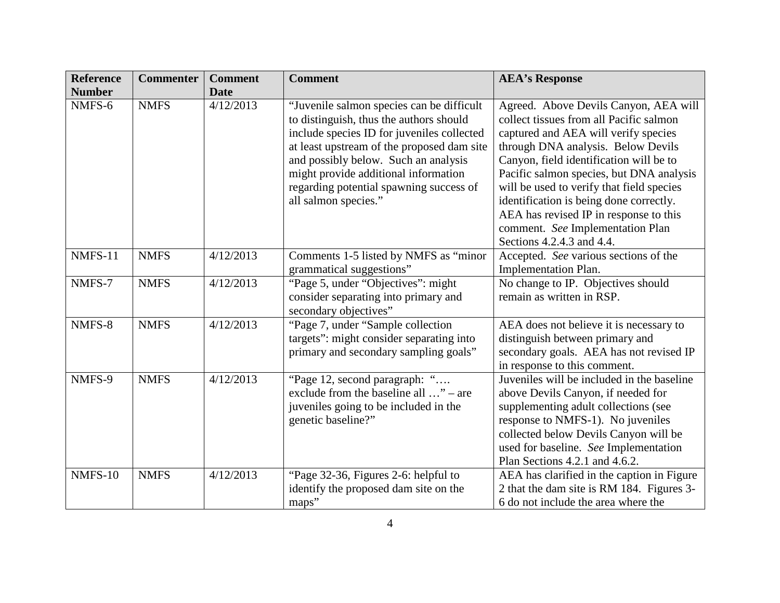| <b>Reference</b><br><b>Number</b> | <b>Commenter</b> | <b>Comment</b><br><b>Date</b> | <b>Comment</b>                                                                                                                                                                   | <b>AEA's Response</b>                                                                                                                                                                                                                                                             |
|-----------------------------------|------------------|-------------------------------|----------------------------------------------------------------------------------------------------------------------------------------------------------------------------------|-----------------------------------------------------------------------------------------------------------------------------------------------------------------------------------------------------------------------------------------------------------------------------------|
| NMFS-6                            | <b>NMFS</b>      | 4/12/2013                     | "Juvenile salmon species can be difficult<br>to distinguish, thus the authors should<br>include species ID for juveniles collected<br>at least upstream of the proposed dam site | Agreed. Above Devils Canyon, AEA will<br>collect tissues from all Pacific salmon<br>captured and AEA will verify species<br>through DNA analysis. Below Devils                                                                                                                    |
|                                   |                  |                               | and possibly below. Such an analysis<br>might provide additional information<br>regarding potential spawning success of                                                          | Canyon, field identification will be to<br>Pacific salmon species, but DNA analysis<br>will be used to verify that field species                                                                                                                                                  |
|                                   |                  |                               | all salmon species."                                                                                                                                                             | identification is being done correctly.<br>AEA has revised IP in response to this<br>comment. See Implementation Plan<br>Sections 4.2.4.3 and 4.4.                                                                                                                                |
| NMFS-11                           | <b>NMFS</b>      | 4/12/2013                     | Comments 1-5 listed by NMFS as "minor<br>grammatical suggestions"                                                                                                                | Accepted. See various sections of the<br><b>Implementation Plan.</b>                                                                                                                                                                                                              |
| NMFS-7                            | <b>NMFS</b>      | 4/12/2013                     | "Page 5, under "Objectives": might<br>consider separating into primary and<br>secondary objectives"                                                                              | No change to IP. Objectives should<br>remain as written in RSP.                                                                                                                                                                                                                   |
| NMFS-8                            | <b>NMFS</b>      | 4/12/2013                     | "Page 7, under "Sample collection"<br>targets": might consider separating into<br>primary and secondary sampling goals"                                                          | AEA does not believe it is necessary to<br>distinguish between primary and<br>secondary goals. AEA has not revised IP<br>in response to this comment.                                                                                                                             |
| NMFS-9                            | <b>NMFS</b>      | 4/12/2013                     | "Page 12, second paragraph: "<br>exclude from the baseline all " – are<br>juveniles going to be included in the<br>genetic baseline?"                                            | Juveniles will be included in the baseline<br>above Devils Canyon, if needed for<br>supplementing adult collections (see<br>response to NMFS-1). No juveniles<br>collected below Devils Canyon will be<br>used for baseline. See Implementation<br>Plan Sections 4.2.1 and 4.6.2. |
| <b>NMFS-10</b>                    | <b>NMFS</b>      | 4/12/2013                     | "Page 32-36, Figures 2-6: helpful to<br>identify the proposed dam site on the<br>maps"                                                                                           | AEA has clarified in the caption in Figure<br>2 that the dam site is RM 184. Figures 3-<br>6 do not include the area where the                                                                                                                                                    |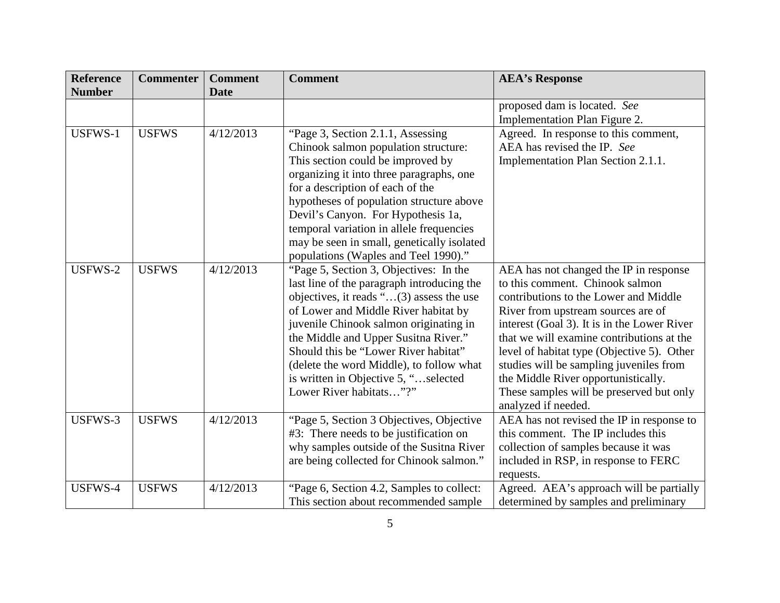| <b>Reference</b> | <b>Commenter</b> | <b>Comment</b> | <b>Comment</b>                                                                                                                                                                                                                                                                                                                                                                                                     | <b>AEA's Response</b>                                                                                                                                                                                                                                                                                                                                                                                                                                   |
|------------------|------------------|----------------|--------------------------------------------------------------------------------------------------------------------------------------------------------------------------------------------------------------------------------------------------------------------------------------------------------------------------------------------------------------------------------------------------------------------|---------------------------------------------------------------------------------------------------------------------------------------------------------------------------------------------------------------------------------------------------------------------------------------------------------------------------------------------------------------------------------------------------------------------------------------------------------|
| <b>Number</b>    |                  | <b>Date</b>    |                                                                                                                                                                                                                                                                                                                                                                                                                    |                                                                                                                                                                                                                                                                                                                                                                                                                                                         |
|                  |                  |                |                                                                                                                                                                                                                                                                                                                                                                                                                    | proposed dam is located. See<br>Implementation Plan Figure 2.                                                                                                                                                                                                                                                                                                                                                                                           |
| USFWS-1          | <b>USFWS</b>     | 4/12/2013      | "Page 3, Section 2.1.1, Assessing<br>Chinook salmon population structure:<br>This section could be improved by<br>organizing it into three paragraphs, one<br>for a description of each of the<br>hypotheses of population structure above<br>Devil's Canyon. For Hypothesis 1a,<br>temporal variation in allele frequencies<br>may be seen in small, genetically isolated<br>populations (Waples and Teel 1990)." | Agreed. In response to this comment,<br>AEA has revised the IP. See<br>Implementation Plan Section 2.1.1.                                                                                                                                                                                                                                                                                                                                               |
| USFWS-2          | <b>USFWS</b>     | 4/12/2013      | "Page 5, Section 3, Objectives: In the<br>last line of the paragraph introducing the<br>objectives, it reads "(3) assess the use<br>of Lower and Middle River habitat by<br>juvenile Chinook salmon originating in<br>the Middle and Upper Susitna River."<br>Should this be "Lower River habitat"<br>(delete the word Middle), to follow what<br>is written in Objective 5, "selected<br>Lower River habitats"?"  | AEA has not changed the IP in response<br>to this comment. Chinook salmon<br>contributions to the Lower and Middle<br>River from upstream sources are of<br>interest (Goal 3). It is in the Lower River<br>that we will examine contributions at the<br>level of habitat type (Objective 5). Other<br>studies will be sampling juveniles from<br>the Middle River opportunistically.<br>These samples will be preserved but only<br>analyzed if needed. |
| USFWS-3          | <b>USFWS</b>     | 4/12/2013      | "Page 5, Section 3 Objectives, Objective<br>#3: There needs to be justification on<br>why samples outside of the Susitna River<br>are being collected for Chinook salmon."                                                                                                                                                                                                                                         | AEA has not revised the IP in response to<br>this comment. The IP includes this<br>collection of samples because it was<br>included in RSP, in response to FERC<br>requests.                                                                                                                                                                                                                                                                            |
| USFWS-4          | <b>USFWS</b>     | 4/12/2013      | "Page 6, Section 4.2, Samples to collect:<br>This section about recommended sample.                                                                                                                                                                                                                                                                                                                                | Agreed. AEA's approach will be partially<br>determined by samples and preliminary                                                                                                                                                                                                                                                                                                                                                                       |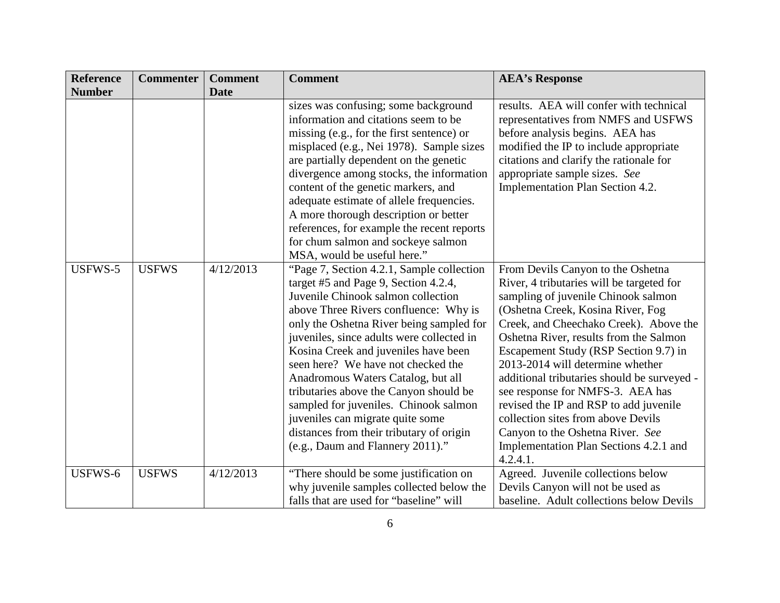| <b>Reference</b> | <b>Commenter</b> | <b>Comment</b> | <b>Comment</b>                                                                                                                                                                                                                                                                                                                                                                                                                                                                                                                                                                        | <b>AEA's Response</b>                                                                                                                                                                                                                                                                                                                                                                                                                                                                                                                                                                    |
|------------------|------------------|----------------|---------------------------------------------------------------------------------------------------------------------------------------------------------------------------------------------------------------------------------------------------------------------------------------------------------------------------------------------------------------------------------------------------------------------------------------------------------------------------------------------------------------------------------------------------------------------------------------|------------------------------------------------------------------------------------------------------------------------------------------------------------------------------------------------------------------------------------------------------------------------------------------------------------------------------------------------------------------------------------------------------------------------------------------------------------------------------------------------------------------------------------------------------------------------------------------|
| <b>Number</b>    |                  | <b>Date</b>    |                                                                                                                                                                                                                                                                                                                                                                                                                                                                                                                                                                                       |                                                                                                                                                                                                                                                                                                                                                                                                                                                                                                                                                                                          |
|                  |                  |                | sizes was confusing; some background<br>information and citations seem to be<br>missing (e.g., for the first sentence) or<br>misplaced (e.g., Nei 1978). Sample sizes<br>are partially dependent on the genetic<br>divergence among stocks, the information<br>content of the genetic markers, and<br>adequate estimate of allele frequencies.<br>A more thorough description or better<br>references, for example the recent reports<br>for chum salmon and sockeye salmon<br>MSA, would be useful here."                                                                            | results. AEA will confer with technical<br>representatives from NMFS and USFWS<br>before analysis begins. AEA has<br>modified the IP to include appropriate<br>citations and clarify the rationale for<br>appropriate sample sizes. See<br>Implementation Plan Section 4.2.                                                                                                                                                                                                                                                                                                              |
| USFWS-5          | <b>USFWS</b>     | 4/12/2013      | "Page 7, Section 4.2.1, Sample collection"<br>target #5 and Page 9, Section 4.2.4,<br>Juvenile Chinook salmon collection<br>above Three Rivers confluence: Why is<br>only the Oshetna River being sampled for<br>juveniles, since adults were collected in<br>Kosina Creek and juveniles have been<br>seen here? We have not checked the<br>Anadromous Waters Catalog, but all<br>tributaries above the Canyon should be<br>sampled for juveniles. Chinook salmon<br>juveniles can migrate quite some<br>distances from their tributary of origin<br>(e.g., Daum and Flannery 2011)." | From Devils Canyon to the Oshetna<br>River, 4 tributaries will be targeted for<br>sampling of juvenile Chinook salmon<br>(Oshetna Creek, Kosina River, Fog<br>Creek, and Cheechako Creek). Above the<br>Oshetna River, results from the Salmon<br>Escapement Study (RSP Section 9.7) in<br>2013-2014 will determine whether<br>additional tributaries should be surveyed -<br>see response for NMFS-3. AEA has<br>revised the IP and RSP to add juvenile<br>collection sites from above Devils<br>Canyon to the Oshetna River. See<br>Implementation Plan Sections 4.2.1 and<br>4.2.4.1. |
| USFWS-6          | <b>USFWS</b>     | 4/12/2013      | "There should be some justification on<br>why juvenile samples collected below the<br>falls that are used for "baseline" will                                                                                                                                                                                                                                                                                                                                                                                                                                                         | Agreed. Juvenile collections below<br>Devils Canyon will not be used as<br>baseline. Adult collections below Devils                                                                                                                                                                                                                                                                                                                                                                                                                                                                      |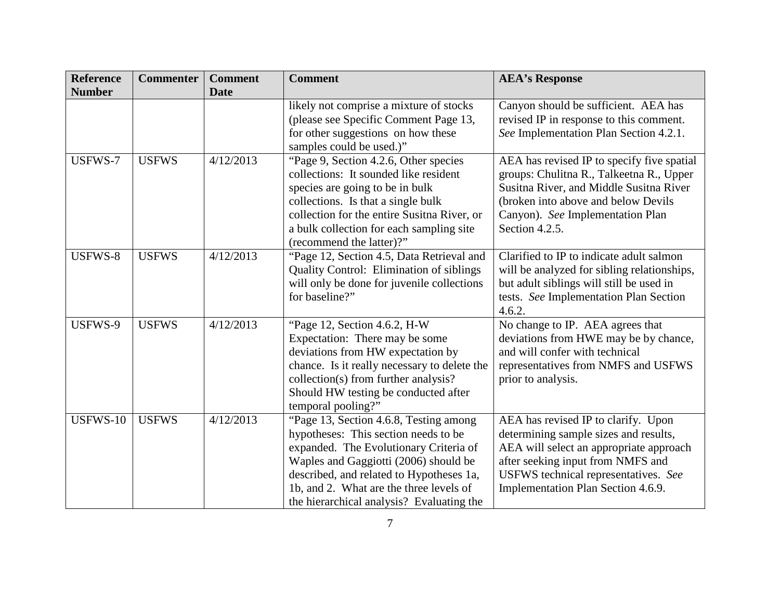| <b>Reference</b> | <b>Commenter</b> | <b>Comment</b> | <b>Comment</b>                                                                                                                                                                                                                                                                                        | <b>AEA's Response</b>                                                                                                                                                                                                                      |
|------------------|------------------|----------------|-------------------------------------------------------------------------------------------------------------------------------------------------------------------------------------------------------------------------------------------------------------------------------------------------------|--------------------------------------------------------------------------------------------------------------------------------------------------------------------------------------------------------------------------------------------|
| <b>Number</b>    |                  | <b>Date</b>    |                                                                                                                                                                                                                                                                                                       |                                                                                                                                                                                                                                            |
|                  |                  |                | likely not comprise a mixture of stocks<br>(please see Specific Comment Page 13,<br>for other suggestions on how these<br>samples could be used.)"                                                                                                                                                    | Canyon should be sufficient. AEA has<br>revised IP in response to this comment.<br>See Implementation Plan Section 4.2.1.                                                                                                                  |
| USFWS-7          | <b>USFWS</b>     | 4/12/2013      | "Page 9, Section 4.2.6, Other species<br>collections: It sounded like resident<br>species are going to be in bulk<br>collections. Is that a single bulk<br>collection for the entire Susitna River, or<br>a bulk collection for each sampling site<br>(recommend the latter)?"                        | AEA has revised IP to specify five spatial<br>groups: Chulitna R., Talkeetna R., Upper<br>Susitna River, and Middle Susitna River<br>(broken into above and below Devils<br>Canyon). See Implementation Plan<br>Section 4.2.5.             |
| USFWS-8          | <b>USFWS</b>     | 4/12/2013      | "Page 12, Section 4.5, Data Retrieval and<br><b>Quality Control: Elimination of siblings</b><br>will only be done for juvenile collections<br>for baseline?"                                                                                                                                          | Clarified to IP to indicate adult salmon<br>will be analyzed for sibling relationships,<br>but adult siblings will still be used in<br>tests. See Implementation Plan Section<br>4.6.2.                                                    |
| USFWS-9          | <b>USFWS</b>     | 4/12/2013      | "Page 12, Section 4.6.2, H-W<br>Expectation: There may be some<br>deviations from HW expectation by<br>chance. Is it really necessary to delete the<br>collection(s) from further analysis?<br>Should HW testing be conducted after<br>temporal pooling?"                                             | No change to IP. AEA agrees that<br>deviations from HWE may be by chance,<br>and will confer with technical<br>representatives from NMFS and USFWS<br>prior to analysis.                                                                   |
| USFWS-10         | <b>USFWS</b>     | 4/12/2013      | "Page 13, Section 4.6.8, Testing among<br>hypotheses: This section needs to be<br>expanded. The Evolutionary Criteria of<br>Waples and Gaggiotti (2006) should be<br>described, and related to Hypotheses 1a,<br>1b, and 2. What are the three levels of<br>the hierarchical analysis? Evaluating the | AEA has revised IP to clarify. Upon<br>determining sample sizes and results,<br>AEA will select an appropriate approach<br>after seeking input from NMFS and<br>USFWS technical representatives. See<br>Implementation Plan Section 4.6.9. |